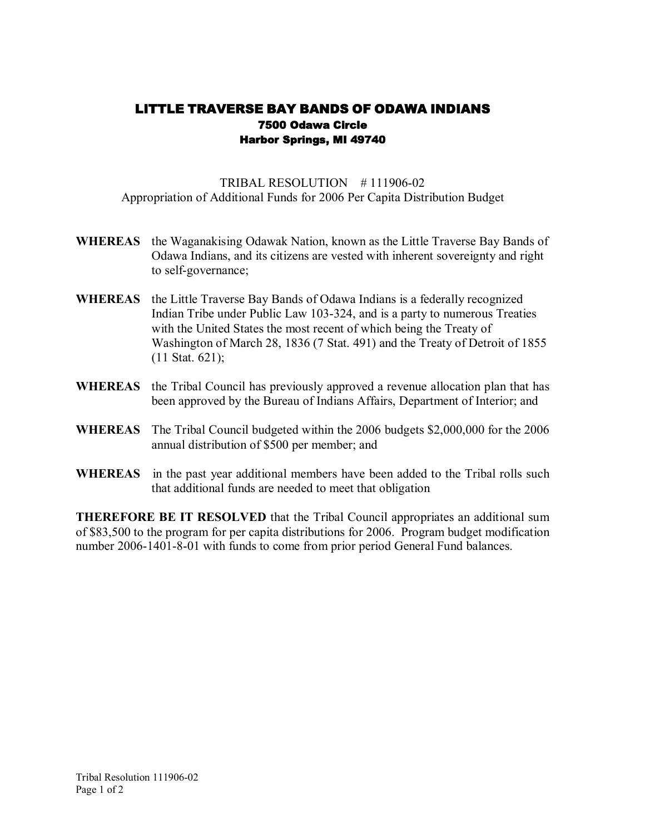## LITTLE TRAVERSE BAY BANDS OF ODAWA INDIANS 7500 Odawa Circle Harbor Springs, MI 49740

TRIBAL RESOLUTION  $#111906-02$ Appropriation of Additional Funds for 2006 Per Capita Distribution Budget

- **WHEREAS** the Waganakising Odawak Nation, known as the Little Traverse Bay Bands of Odawa Indians, and its citizens are vested with inherent sovereignty and right to self-governance;
- **WHEREAS** the Little Traverse Bay Bands of Odawa Indians is a federally recognized Indian Tribe under Public Law 103-324, and is a party to numerous Treaties with the United States the most recent of which being the Treaty of Washington of March 28, 1836 (7 Stat. 491) and the Treaty of Detroit of 1855 (11 Stat. 621);
- **WHEREAS** the Tribal Council has previously approved a revenue allocation plan that has been approved by the Bureau of Indians Affairs, Department of Interior; and
- **WHEREAS** The Tribal Council budgeted within the 2006 budgets \$2,000,000 for the 2006 annual distribution of \$500 per member; and
- **WHEREAS** in the past year additional members have been added to the Tribal rolls such that additional funds are needed to meet that obligation

**THEREFORE BE IT RESOLVED** that the Tribal Council appropriates an additional sum of \$83,500 to the program for per capita distributions for 2006. Program budget modification number 2006-1401-8-01 with funds to come from prior period General Fund balances.